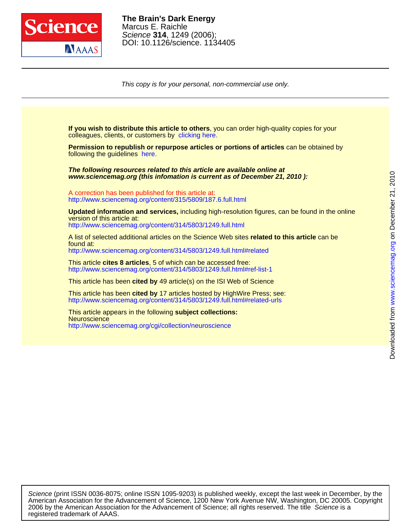

DOI: 10.1126/science. 1134405 Science **314**, 1249 (2006); Marcus E. Raichle **The Brain's Dark Energy**

This copy is for your personal, non-commercial use only.

colleagues, clients, or customers by [clicking here.](http://www.sciencemag.org/about/permissions.dtl) **If you wish to distribute this article to others**, you can order high-quality copies for your

following the guidelines [here.](http://www.sciencemag.org/about/permissions.dtl) **Permission to republish or repurpose articles or portions of articles** can be obtained by

**www.sciencemag.org (this infomation is current as of December 21, 2010 ): The following resources related to this article are available online at**

<http://www.sciencemag.org/content/315/5809/187.6.full.html> A correction has been published for this article at:

<http://www.sciencemag.org/content/314/5803/1249.full.html> version of this article at: **Updated information and services,** including high-resolution figures, can be found in the online

<http://www.sciencemag.org/content/314/5803/1249.full.html#related> found at: A list of selected additional articles on the Science Web sites **related to this article** can be

<http://www.sciencemag.org/content/314/5803/1249.full.html#ref-list-1> This article **cites 8 articles**, 5 of which can be accessed free:

This article has been **cited by** 49 article(s) on the ISI Web of Science

<http://www.sciencemag.org/content/314/5803/1249.full.html#related-urls> This article has been **cited by** 17 articles hosted by HighWire Press; see:

<http://www.sciencemag.org/cgi/collection/neuroscience> **Neuroscience** This article appears in the following **subject collections:**

registered trademark of AAAS. 2006 by the American Association for the Advancement of Science; all rights reserved. The title Science is a American Association for the Advancement of Science, 1200 New York Avenue NW, Washington, DC 20005. Copyright Science (print ISSN 0036-8075; online ISSN 1095-9203) is published weekly, except the last week in December, by the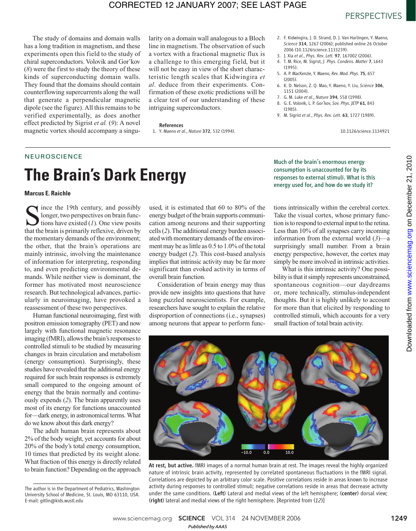## CORRECTED 12 JANUARY 2007; SEE LAST PAGE

The study of domains and domain walls has a long tradition in magnetism, and these experiments open this field to the study of chiral superconductors. Volovik and Gor'kov (*8*) were the first to study the theory of these kinds of superconducting domain walls. They found that the domains should contain counterflowing supercurrents along the wall that generate a perpendicular magnetic dipole (see the figure). All this remains to be verified experimentally, as does another effect predicted by Sigrist *et al.* (*9*): A novel magnetic vortex should accompany a singu-

larity on a domain wall analogous to a Bloch line in magnetism. The observation of such a vortex with a fractional magnetic flux is a challenge to this emerging field, but it will not be easy in view of the short characteristic length scales that Kidwingira *et al*. deduce from their experiments. Confirmation of these exotic predictions will be a clear test of our understanding of these intriguing superconductors.

#### References

1. Y. Maeno *et al*., *Nature* 372, 532 (1994).

- 2. F. Kidwingira, J. D. Strand, D. J. Van Harlingen, Y. Maeno, *Science* 314, 1267 (2006); published online 26 October 2006 (10.1126/science.1133239).
- 3. J. Xia *et al*., *Phys. Rev. Lett.* 97, 167002 (2006).
- 4. T. M. Rice, M. Sigrist, *J. Phys. Condens. Matter* 7, L643 (1995).
- 5. A. P. MacKenzie, Y. Maeno, *Rev. Mod. Phys.* 75, 657 (2005).
- 6. K. D. Nelson, Z. Q. Mao, Y. Maeno, Y. Liu, *Science* 306, 1151 (2004).
- 7. G. M. Luke *et al*., *Nature* 394, 558 (1998).
- 8. G. E. Volovik, L. P. Gor'kov, *Sov. Phys. JETP* 61, 843 (1985).
- 9. M. Sigrist *et al*., *Phys. Rev. Lett.* 63, 1727 (1989).

10.1126/science.1134921

## **NEUROSCIENCE**

# **The Brain's Dark Energy**

**Marcus E. Raichle**

Since the 19th century, and possibly<br>longer, two perspectives on brain func-<br>tions have existed (1). One view posits<br>that the brain is primarily reflexive, driven by ince the 19th century, and possibly longer, two perspectives on brain functions have existed (*1*). One view posits the momentary demands of the environment; the other, that the brain's operations are mainly intrinsic, involving the maintenance of information for interpreting, responding to, and even predicting environmental demands. While neither view is dominant, the former has motivated most neuroscience research. But technological advances, particularly in neuroimaging, have provoked a reassessment of these two perspectives.

Human functional neuroimaging, first with positron emission tomography (PET) and now largely with functional magnetic resonance imaging (fMRI), allows the brain's responses to controlled stimuli to be studied by measuring changes in brain circulation and metabolism (energy consumption). Surprisingly, these studies have revealed that the additional energy required for such brain responses is extremely small compared to the ongoing amount of energy that the brain normally and continuously expends (*2*). The brain apparently uses most of its energy for functions unaccounted for—dark energy, in astronomical terms. What do we know about this dark energy?

The adult human brain represents about 2% of the body weight, yet accounts for about 20% of the body's total energy consumption, 10 times that predicted by its weight alone. What fraction of this energy is directly related to brain function? Depending on the approach

used, it is estimated that 60 to 80% of the energy budget of the brain supports communication among neurons and their supporting cells (*2*). The additional energy burden associated with momentary demands of the environment may be as little as 0.5 to 1.0% of the total energy budget (*2*). This cost-based analysis implies that intrinsic activity may be far more significant than evoked activity in terms of overall brain function.

Consideration of brain energy may thus provide new insights into questions that have long puzzled neuroscientists. For example, researchers have sought to explain the relative disproportion of connections (i.e., synapses) among neurons that appear to perform funcMuch of the brain's enormous energy consumption is unaccounted for by its responses to external stimuli. What is this energy used for, and how do we study it?

tions intrinsically within the cerebral cortex. Take the visual cortex, whose primary function is to respond to external input to the retina. Less than 10% of all synapses carry incoming information from the external world (*3*)—a surprisingly small number. From a brain energy perspective, however, the cortex may simply be more involved in intrinsic activities.

What is this intrinsic activity? One possibility is that it simply represents unconstrained, spontaneous cognition—our daydreams or, more technically, stimulus-independent thoughts. But it is highly unlikely to account for more than that elicited by responding to controlled stimuli, which accounts for a very small fraction of total brain activity.



At rest, but active. fMRI images of a normal human brain at rest. The images reveal the highly organized nature of intrinsic brain activity, represented by correlated spontaneous fluctuations in the fMRI signal. Correlations are depicted by an arbitrary color scale. Positive correlations reside in areas known to increase activity during responses to controlled stimuli; negative correlations reside in areas that decrease activity under the same conditions. (Left) Lateral and medial views of the left hemisphere; (center) dorsal view; (right) lateral and medial views of the right hemisphere. [Reprinted from (*12*)]

The author is in the Department of Pediatrics, Washington University School of Medicine, St. Louis, MO 63110, USA. E-mail: gitlin@kids.wustl.edu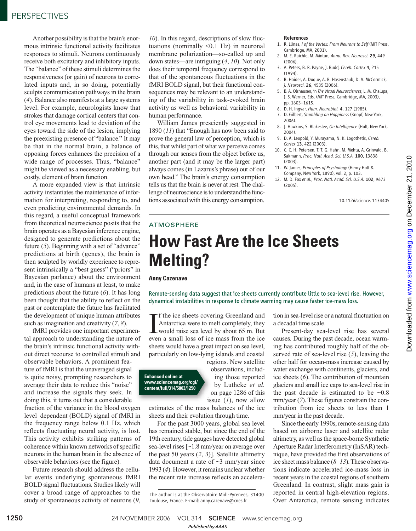Another possibility is that the brain's enormous intrinsic functional activity facilitates responses to stimuli. Neurons continuously receive both excitatory and inhibitory inputs. The "balance" of these stimuli determines the responsiveness (or gain) of neurons to correlated inputs and, in so doing, potentially sculpts communication pathways in the brain (*4*). Balance also manifests at a large systems level. For example, neurologists know that strokes that damage cortical centers that control eye movements lead to deviation of the eyes toward the side of the lesion, implying the preexisting presence of "balance." It may be that in the normal brain, a balance of opposing forces enhances the precision of a wide range of processes. Thus, "balance" might be viewed as a necessary enabling, but costly, element of brain function.

A more expanded view is that intrinsic activity instantiates the maintenance of information for interpreting, responding to, and even predicting environmental demands. In this regard, a useful conceptual framework from theoretical neuroscience posits that the brain operates as a Bayesian inference engine, designed to generate predictions about the future (*5*). Beginning with a set of "advance" predictions at birth (genes), the brain is then sculpted by worldly experience to represent intrinsically a "best guess" ("priors" in Bayesian parlance) about the environment and, in the case of humans at least, to make predictions about the future (*6*). It has long been thought that the ability to reflect on the past or contemplate the future has facilitated the development of unique human attributes such as imagination and creativity (*7*, *8*).

fMRI provides one important experimental approach to understanding the nature of the brain's intrinsic functional activity without direct recourse to controlled stimuli and observable behaviors. A prominent feature of fMRI is that the unaveraged signal is quite noisy, prompting researchers to average their data to reduce this "noise" and increase the signals they seek. In doing this, it turns out that a considerable fraction of the variance in the blood oxygen level–dependent (BOLD) signal of fMRI in the frequency range below 0.1 Hz, which reflects fluctuating neural activity, is lost. This activity exhibits striking patterns of coherence within known networks of specific neurons in the human brain in the absence of observable behaviors (see the figure).

Future research should address the cellular events underlying spontaneous fMRI BOLD signal fluctuations. Studies likely will cover a broad range of approaches to the study of spontaneous activity of neurons (*9*,

*10*). In this regard, descriptions of slow fluctuations (nominally  $\leq 0.1$  Hz) in neuronal membrane polarization—so-called up and down states—are intriguing (*4*, *10*). Not only does their temporal frequency correspond to that of the spontaneous fluctuations in the fMRI BOLD signal, but their functional consequences may be relevant to an understanding of the variability in task-evoked brain activity as well as behavioral variability in human performance.

William James presciently suggested in 1890 (*11*) that "Enough has now been said to prove the general law of perception, which is this, that whilst part of what we perceive comes through our senses from the object before us, another part (and it may be the larger part) always comes (in Lazarus's phrase) out of our own head." The brain's energy consumption tells us that the brain is never at rest. The challenge of neuroscience is to understand the functions associated with this energy consumption.

### References

- 1. R. Llinas, *I of the Vortex: From Neurons to Self* (MIT Press, Cambridge, MA, 2001).
- 2. M. E. Raichle, M. Mintun, *Annu. Rev. Neurosci.* 29, 449 (2006).
- 3. A. Peters, B. R. Payne, J. Budd*, Cereb. Cortex* 4, 215  $(1994)$
- 4. B. Haider, A. Duque, A. R. Hasenstaub, D. A. McCormick, *J. Neurosci.* 26, 4535 (2006).
- 5. B. A. Olshausen, in *The Visual Neurosciences*, L. M. Chalupa, J. S. Werner, Eds. (MIT Press, Cambridge, MA, 2003), pp. 1603–1615.
- 6. D. H. Ingvar, *Hum. Neurobiol.* 4, 127 (1985).
- 7. D. Gilbert, *Stumbling on Happiness* (Knopf, New York, 2006).
- 8. J. Hawkins, S. Blakeslee, *On Intelligence* (Holt, New York, 2004).
- 9. D. A. Leopold, Y. Murayama, N. K. Logothetis, *Cereb. Cortex* 13, 422 (2003).
- 10. C. C. H. Petersen, T. T. G. Hahn, M. Mehta, A. Grinvald, B. Sakmann, *Proc. Natl. Acad. Sci. U.S.A.* 100, 13638 (2003).
- 11. W. James, *Principles of Psychology* (Henry Holt & Company, New York, 1890), vol. 2, p. 103.
- 12. M. D. Fox *et al.*, *Proc. Natl. Acad. Sci. U.S.A.* 102, 9673 (2005).

10.1126/science. 1134405

## **How Fast Are the Ice Sheets Melting?** ATMOSPHERE

### **Anny Cazenave**

Remote-sensing data suggest that ice sheets currently contribute little to sea-level rise. However, dynamical instabilities in response to climate warming may cause faster ice-mass loss.

If the ice sheets covering Greenland and<br>Antarctica were to melt completely, they<br>would raise sea level by about 65 m. But<br>even a small loss of ice mass from the ice **T** f the ice sheets covering Greenland and Antarctica were to melt completely, they even a small loss of ice mass from the ice sheets would have a great impact on sea level, particularly on low-lying islands and coastal

**Enhanced online at www.sciencemag.org/cgi/ content/full/314/5803/1250**

regions. New satellite observations, including those reported by Luthcke *et al.* on page 1286 of this issue (*1*), now allow

estimates of the mass balances of the ice sheets and their evolution through time.

For the past 3000 years, global sea level has remained stable, but since the end of the 19th century, tide gauges have detected global sea-level rises [~1.8 mm/year on average over the past 50 years (*2*, *3*)]. Satellite altimetry data document a rate of  $\sim$ 3 mm/year since 1993 (*4*). However, it remains unclear whether the recent rate increase reflects an acceleration in sea-level rise or a natural fluctuation on a decadal time scale.

Present-day sea-level rise has several causes. During the past decade, ocean warming has contributed roughly half of the observed rate of sea-level rise (*5*), leaving the other half for ocean-mass increase caused by water exchange with continents, glaciers, and ice sheets (*6*). The contribution of mountain glaciers and small ice caps to sea-level rise in the past decade is estimated to be  $\sim 0.8$ mm/year (*7*). These figures constrain the contribution from ice sheets to less than 1 mm/year in the past decade.

Since the early 1990s, remote-sensing data based on airborne laser and satellite radar altimetry, as well as the space-borne Synthetic Aperture Radar Interferometry (InSAR) technique, have provided the first observations of ice sheet mass balance (*8*–*13*). These observations indicate accelerated ice-mass loss in recent years in the coastal regions of southern Greenland. In contrast, slight mass gain is reported in central high-elevation regions. Over Antarctica, remote sensing indicates

1250 24 NOVEMBER 2006 VOL 314 SCIENCE www.sciencemag.org *Published byAAAS*

The author is at the Observatoire Midi-Pyrenees, 31400 Toulouse, France. E-mail: anny.cazenave@cnes.fr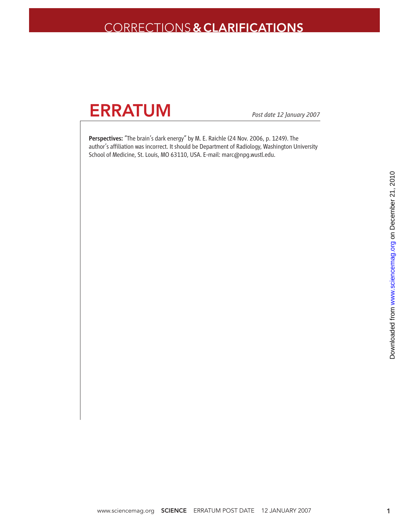## CORRECTIONS**&CLARIFICATIONS**



*Post date 12 January 2007*

Perspectives: "The brain's dark energy" by M. E. Raichle (24 Nov. 2006, p. 1249). The author's affiliation was incorrect. It should be Department of Radiology, Washington University School of Medicine, St. Louis, MO 63110, USA. E-mail: marc@npg.wustl.edu.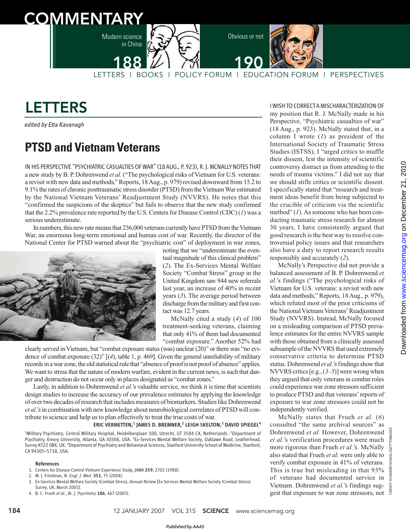



# LETTERS

edited by Etta Kavanagh

## **PTSD and Vietnam Veterans**

IN HIS PERSPECTIVE "PSYCHIATRIC CASUALTIES OF WAR" (18 AUG., P. 923), R. J. MCNALLYNOTES THAT a new study by B. P. Dohrenwend *et al.* ("The psychological risks of Vietnam for U.S. veterans: a revisit with new data and methods," Reports, 18 Aug., p. 979) revised downward from 15.2 to 9.1% the rates of chronic posttraumatic stress disorder (PTSD) from the Vietnam War estimated by the National Vietnam Veterans' Readjustment Study (NVVRS). He notes that this "confirmed the suspicions of the skeptics" but fails to observe that the new study confirmed that the 2.2% prevalence rate reported by the U.S. Centers for Disease Control (CDC) (*1*) was a serious underestimate.

In numbers, this new rate means that 236,000 veterans currently have PTSD from the Vietnam War, an enormous long-term emotional and human cost of war. Recently, the director of the National Center for PTSD warned about the "psychiatric cost" of deployment in war zones,



noting that we "underestimate the eventual magnitude of this clinical problem" (*2*). The Ex-Services Mental Welfare Society "Combat Stress" group in the United Kingdom saw 944 new referrals last year, an increase of 40% in recent years (*3*). The average period between discharge from the military and first contact was 12.7 years.

McNally cited a study (*4*) of 100 treatment-seeking veterans, claiming that only 41% of them had documented "combat exposure." Another 52% had

clearly served in Vietnam, but "combat exposure status (was) unclear (20)" or there was "no evidence of combat exposure (32)" [(*4*), table 1, p. 469]. Given the general unreliability of military records in a war zone, the old statistical rule that "absence of proof is not proof of absence" applies. We want to stress that the nature of modern warfare, evident in the current news, is such that danger and destruction do not occur only in places designated as "combat zones."

Lastly, in addition to Dohrenwend *et al.*'s valuable service, we think it is time that scientists design studies to increase the accuracy of our prevalence estimates by applying the knowledge of over two decades of research that includes measures of biomarkers. Studies like Dohrenwend *et al.*'s in combination with new knowledge about neurobiological correlates of PTSD will contribute to science and help us to plan effectively to treat the true costs of war.

## ERIC VERMETTEN,<sup>1</sup> JAMES D. BREMNER,<sup>2</sup> LEIGH SKELTON,<sup>3</sup> DAVID SPIEGEL<sup>4</sup>

<sup>1</sup>Military Psychiatry, Central Military Hospital, Heidelberglaan 100, Utrecht, UT 3584 CX, Netherlands. <sup>2</sup>Department of Psychiatry, Emory University, Atlanta, GA 30306, USA. <sup>3</sup>Ex-Services Mental Welfare Society, Oaklawn Road, Leatherhead, Surrey KT22 0BX, UK. <sup>4</sup>Department of Psychiatry and Behavioral Sciences, Stanford University School of Medicine, Stanford, CA 94305–5718, USA.

#### References

- 1. Centers for Disease Control Vietnam Experience Study, *JAMA* 259, 2701 (1988).
- 2. M. J. Friedman, *N. Engl. J. Med.* 351, 75 (2004).
- 3. Ex-Services Mental Welfare Society (Combat Stress), *Annual Review* [Ex-Services Mental Welfare Society (Combat Stress), Surrey, UK, March 2005].
- 4. B. C. Frueh *et al.*, *Br. J. Psychiatry* 186, 467 (2005).

I WISH TO CORRECTA MISCHARACTERIZATION OF my position that R. J. McNally made in his Perspective, "Psychiatric casualties of war" (18 Aug., p. 923). McNally stated that, in a column I wrote (*1*) as president of the International Society of Traumatic Stress Studies (ISTSS), I "urged critics to muffle their dissent, lest the intensity of scientific controversy distract us from attending to the needs of trauma victims." I did not say that we should stifle critics or scientific dissent. I specifically stated that "research and treatment ideas benefit from being subjected to the crucible of criticism via the scientific method" (*1*). As someone who has been conducting traumatic stress research for almost 30 years, I have consistently argued that good research is the best way to resolve controversial policy issues and that researchers also have a duty to report research results responsibly and accurately (*2*).

McNally's Perspective did not provide a balanced assessment of B. P. Dohrenwend *et al.*'s findings ("The psychological risks of Vietnam for U.S. veterans: a revisit with new data and methods," Reports, 18 Aug., p. 979), which refuted most of the prior criticisms of the National Vietnam Veterans'Readjustment Study (NVVRS). Instead, McNally focused on a misleading comparison of PTSD prevalence estimates for the entire NVVRS sample with those obtained from a clinically assessed subsample of the NVVRS that used extremely conservative criteria to determine PTSD status. Dohrenwend *et al.*'s findings show that NVVRS critics [e.g., (*3–5*)] were wrong when they argued that only veterans in combat roles could experience war zone stressors sufficient to produce PTSD and that veterans'reports of exposure to war zone stressors could not be independently verified.

McNally states that Frueh *et al.* (*6*) consulted "the same archival sources" as **SOKOL/GETTYIMAGES** Dohrenwend *et al.* However, Dohrenwend *et al.*'s verification procedures were much more rigorous than Frueh *et al.*'s. McNally also stated that Frueh *et al.* were only able to verify combat exposure in 41% of veterans. This is true but misleading in that 93% of veterans had documented service in Vietnam. Dohrenwend *et al.*'s findings sug-CREDIT: gest that exposure to war zone stressors, not

CREDIT: HOWARD SOKOL/GETTYIMAGES

HOWARD: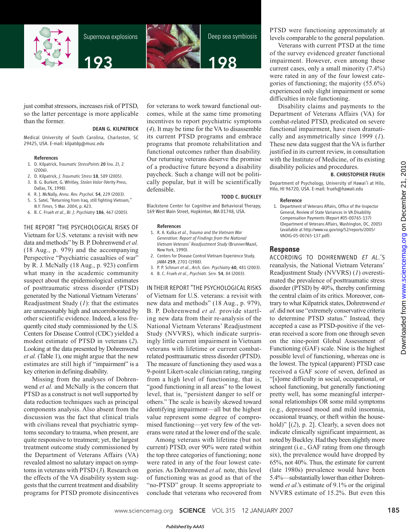

Supernova explosions





Deep sea symbiosis



just combat stressors, increases risk of PTSD, so the latter percentage is more applicable than the former.

### DEAN G. KILPATRICK

Medical University of South Carolina, Charleston, SC 29425, USA. E-mail: kilpatdg@musc.edu

#### References

- 1. D. Kilpatrick, *Traumatic StressPoints* 20 (no. 2), 2 (2006).
- 2. D. Kilpatrick, *J. Traumatic Stress* 18, 589 (2005).
- 3. B. G. Burkett, G. Whitley, *Stolen Valor* (Verity Press, Dallas, TX, 1998).
- 4. R. J. McNally, *Annu. Rev. Psychol.* 54, 229 (2003).
- 5. S. Satel, "Returning from Iraq, still fighting Vietnam," *N.Y. Times*, 5 Mar. 2004, p. A23.
- 6. B. C. Frueh *et al.*, *Br. J. Psychiatry* 186, 467 (2005).

THE REPORT "THE PSYCHOLOGICAL RISKS OF Vietnam for U.S. veterans: a revisit with new data and methods" by B. P. Dohrenwend *et al.* (18 Aug., p. 979) and the accompanying Perspective "Psychiatric casualties of war" by R. J. McNally (18 Aug., p. 923) confirm what many in the academic community suspect about the epidemiological estimates of posttraumatic stress disorder (PTSD) generated by the National Vietnam Veterans' Readjustment Study (*1*): that the estimates are unreasonably high and uncorroborated by other scientific evidence. Indeed, a less frequently cited study commissioned by the U.S. Centers for Disease Control (CDC) yielded a modest estimate of PTSD in veterans (*2*). Looking at the data presented by Dohrenwend *et al.* (Table 1), one might argue that the new estimates are still high if "impairment" is a key criterion in defining disability.

Missing from the analyses of Dohrenwend *et al.* and McNally is the concern that PTSD as a construct is not well supported by data reduction techniques such as principal components analysis. Also absent from the discussion was the fact that clinical trials with civilians reveal that psychiatric symptoms secondary to trauma, when present, are quite responsive to treatment; yet, the largest treatment outcome study commissioned by the Department of Veterans Affairs (VA) revealed almost no salutary impact on symptoms in veterans with PTSD (*3*). Research on the effects of the VA disability system suggests that the current treatment and disability programs for PTSD promote disincentives

for veterans to work toward functional outcomes, while at the same time promoting incentives to report psychiatric symptoms (*4*). It may be time for the VA to disassemble its current PTSD programs and embrace programs that promote rehabilitation and functional outcomes rather than disability. Our returning veterans deserve the promise of a productive future beyond a disability paycheck. Such a change will not be politically popular, but it will be scientifically defensible.

### TODD C. BUCKLEY

Blackstone Center for Cognitive and Behavioral Therapy, 169 West Main Street, Hopkinton, MA 01748, USA.

#### References

- 1. R. A. Kulka *et al.*, *Trauma and the Vietnam War Generation: Report of Findings from the National Vietnam Veterans' Readjustment Study* (Brunner/Mazel, New York, 1990).
- 2. Centers for Disease Control Vietnam Experience Study, *JAMA* 259, 2701 (1988).
- 3. P. P. Schnurr *et al.*, *Arch. Gen. Psychiatry* 60, 481 (2003).
- 4. B. C. Frueh *et al.*, *Psychiatr. Serv.* 54, 84 (2003).

IN THEIR REPORT "THE PSYCHOLOGICAL RISKS of Vietnam for U.S. veterans: a revisit with new data and methods" (18 Aug., p. 979), B. P. Dohrenwend *et al.* provide startling new data from their re-analysis of the National Vietnam Veterans' Readjustment Study (NVVRS), which indicate surprisingly little current impairment in Vietnam veterans with lifetime or current combatrelated posttraumatic stress disorder (PTSD). The measure of functioning they used was a 9-point Likert-scale clinician rating, ranging from a high level of functioning, that is, "good functioning in all areas" to the lowest level, that is, "persistent danger to self or others." The scale is heavily skewed toward identifying impairment—all but the highest value represent some degree of compromised functioning—yet very few of the veterans were rated at the lower end of the scale.

Among veterans with lifetime (but not current) PTSD, over 90% were rated within the top three categories of functioning; none were rated in any of the four lowest categories. As Dohrenwend *et al.* note, this level of functioning was as good as that of the "no-PTSD" group. It seems appropriate to conclude that veterans who recovered from PTSD were functioning approximately at levels comparable to the general population.

Veterans with current PTSD at the time of the survey evidenced greater functional impairment. However, even among these current cases, only a small minority (7.4%) were rated in any of the four lowest categories of functioning; the majority (55.6%) experienced only slight impairment or some difficulties in role functioning.

Disability claims and payments to the Department of Veterans Affairs (VA) for combat-related PTSD, predicated on severe functional impairment, have risen dramatically and asymmetrically since 1999 (*1*). These new data suggest that the VA is further justified in its current review, in consultation with the Institute of Medicine, of its existing disability policies and procedures.

#### B. CHRISTOPHER FRUEH

Department of Psychology, University of Hawai'i at Hilo, Hilo, HI 96720, USA. E-mail: frueh@hawaii.edu

#### Reference

1. Department of Veterans Affairs, Office of the Inspector General, Review of State Variances in VA Disability Compensation Payments (Report #05-00765-137) (Department of Veterans Affairs, Washington, DC, 2005) (available at http://www.va.gov/oig/52/reports/2005/ VAOIG-05-00765-137.pdf).

## **Response**

ACCORDING TO DOHRENWEND *ET AL*.'S reanalysis, the National Vietnam Veterans' Readjustment Study (NVVRS) (*1*) overestimated the prevalence of posttraumatic stress disorder (PTSD) by 40%, thereby confirming the central claim of its critics. Moreover, contrary to what Kilpatrick states, Dohrenwend *et al*. did not use "extremely conservative criteria to determine PTSD status." Instead, they accepted a case as PTSD-positive if the veteran received a score from one through seven on the nine-point Global Assessment of Functioning (GAF) scale. Nine is the highest possible level of functioning, whereas one is the lowest. The typical (apparent) PTSD case received a GAF score of seven, defined as "[s]ome difficulty in social, occupational, or school functioning, but generally functioning pretty well, has some meaningful interpersonal relationships OR some mild symptoms (e.g., depressed mood and mild insomnia, occasional truancy, or theft within the household)"  $[(2)$ , p. 2]. Clearly, a seven does not indicate clinically significant impairment, as noted by Buckley. Had they been slightly more stringent (i.e., GAF rating from one through six), the prevalence would have dropped by 65%, not 40%. Thus, the estimate for current (late 1980s) prevalence would have been 5.4%—substantially lower than either Dohrenwend *et al*.'s estimate of 9.1% or the original NVVRS estimate of 15.2%. But even this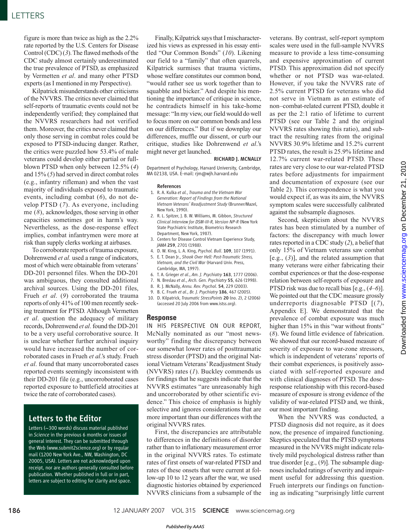## **LETTERS**

figure is more than twice as high as the 2.2% rate reported by the U.S. Centers for Disease Control (CDC) (*3*). The flawed methods of the CDC study almost certainly underestimated the true prevalence of PTSD, as emphasized by Vermetten *et al*. and many other PTSD experts (as I mentioned in my Perspective).

Kilpatrick misunderstands other criticisms of the NVVRS. The critics never claimed that self-reports of traumatic events could not be independently verified; they complained that the NVVRS researchers had not verified them. Moreover, the critics never claimed that only those serving in combat roles could be exposed to PTSD-inducing danger. Rather, the critics were puzzled how 53.4% of male veterans could develop either partial or fullblown PTSD when only between 12.5% (*4*) and 15% (*5*) had served in direct combat roles (e.g., infantry rifleman) and when the vast majority of individuals exposed to traumatic events, including combat (*6*), do not develop PTSD (*7*). As everyone, including me (*8*), acknowledges, those serving in other capacities sometimes got in harm's way. Nevertheless, as the dose-response effect implies, combat infantrymen were more at risk than supply clerks working at airbases.

To corroborate reports of trauma exposure, Dohrenwend *et al.* used a range of indicators, most of which were obtainable from veterans' DD-201 personnel files. When the DD-201 was ambiguous, they consulted additional archival sources. Using the DD-201 files, Frueh *et al*. (*9*) corroborated the trauma reports of only 41% of 100 men recently seeking treatment for PTSD. Although Vermetten *et al*. question the adequacy of military records, Dohrenwend *et al*. found the DD-201 to be a very useful corroborative source. It is unclear whether further archival inquiry would have increased the number of corroborated cases in Frueh *et al*.'s study. Frueh *et al*. found that many uncorroborated cases reported events seemingly inconsistent with their DD-201 file (e.g., uncorroborated cases reported exposure to battlefield atrocities at twice the rate of corroborated cases).

## Letters to the Editor

Letters (~300 words) discuss material published in *Science* in the previous 6 months or issues of general interest. They can be submitted through the Web (www.submit2science.org) or by regular mail (1200 New York Ave., NW, Washington, DC 20005, USA). Letters are not acknowledged upon receipt, nor are authors generally consulted before publication. Whether published in full or in part, letters are subject to editing for clarity and space.

Finally, Kilpatrick says that I mischaracterized his views as expressed in his essay entitled "Our Common Bonds" (*10*). Likening our field to a "family" that often quarrels, Kilpatrick surmises that trauma victims, whose welfare constitutes our common bond, "would rather see us work together than to squabble and bicker." And despite his mentioning the importance of critique in science, he contradicts himself in his take-home message: "In my view, our field would do well to focus more on our common bonds and less on our differences." But if we downplay our differences, muffle our dissent, or curb our critique, studies like Dohrenwend *et al*.'s might never get launched.

## RICHARD J. MCNALLY

Department of Psychology, Harvard University, Cambridge, MA 02138, USA. E-mail: rjm@wjh.harvard.edu

#### References

- 1. R. A. Kulka *et al.*, *Trauma and the Vietnam War Generation: Report of Findings from the National Vietnam Veterans' Readjustment Study* (Brunner/Mazel, New York, 1990).
- 2. R. L. Spitzer, J. B. W. Williams, M. Gibbon, *Structured Clinical Interview for DSM-III-R, Version NP-R* (New York State Psychiatric Institute, Biometrics Research Department, New York, 1987).
- 3. Centers for Disease Control Vietnam Experience Study, *JAMA* 259, 2701 (1988).
- 4. D. W. King, L. A. King, *Psychol. Bull*. 109, 107 (1991).
- 5. E. T. Dean Jr., *Shook Over Hell: Post-Traumatic Stress, Vietnam, and the Civil War* (Harvard Univ. Press, Cambridge, MA, 1997).
- 6. T. A. Grieger *et al*., *Am. J. Psychiatry* 163, 1777 (2006).
- 7. N. Breslau *et al*., *Arch. Gen. Psychiatry* 55, 626 (1998).
- 8. R. J. McNally, *Annu. Rev. Psychol*. 54, 229 (2003). 9. B. C. Frueh *et al*., *Br. J. Psychiatry* 186, 467 (2005).
- 10. D. Kilpatrick, *Traumatic StressPoints* 20 (no. 2), 2 (2006) (accessed 20 July 2006 from www.istss.org).

## **Response**

IN HIS PERSPECTIVE ON OUR REPORT, McNally nominated as our "most newsworthy" finding the discrepancy between our somewhat lower rates of posttraumatic stress disorder (PTSD) and the original National Vietnam Veterans' Readjustment Study (NVVRS) rates (*1*). Buckley commends us for findings that he suggests indicate that the NVVRS estimates "are unreasonably high and uncorroborated by other scientific evidence." This choice of emphasis is highly selective and ignores considerations that are more important than our differences with the original NVVRS rates.

First, the discrepancies are attributable to differences in the definitions of disorder rather than to inflationary measurement error in the original NVVRS rates. To estimate rates of first onsets of war-related PTSD and rates of these onsets that were current at follow-up 10 to 12 years after the war, we used diagnostic histories obtained by experienced NVVRS clinicians from a subsample of the

veterans. By contrast, self-report symptom scales were used in the full-sample NVVRS measure to provide a less time-consuming and expensive approximation of current PTSD. This approximation did not specify whether or not PTSD was war-related. However, if you take the NVVRS rate of 2.5% current PTSD for veterans who did not serve in Vietnam as an estimate of non–combat-related current PTSD, double it as per the 2:1 ratio of lifetime to current PTSD (see our Table 2 and the original NVVRS rates showing this ratio), and subtract the resulting rates from the original NVVRS 30.9% lifetime and 15.2% current PTSD rates, the result is 25.9% lifetime and 12.7% current war-related PTSD. These rates are very close to our war-related PTSD rates before adjustments for impairment and documentation of exposure (see our Table 2). This correspondence is what you would expect if, as was its aim, the NVVRS symptom scales were successfully calibrated against the subsample diagnoses.

Second, skepticism about the NVVRS rates has been stimulated by a number of factors: the discrepancy with much lower rates reported in a CDC study (*2*), a belief that only 15% of Vietnam veterans saw combat [e.g., (*3*)], and the related assumption that many veterans were either fabricating their combat experiences or that the dose-response relation between self-reports of exposure and PTSD risk was due to recall bias [e.g., (*4–6*)]. We pointed out that the CDC measure grossly underreports diagnosable PTSD [(*7*), Appendix E]. We demonstrated that the prevalence of combat exposure was much higher than 15% in this "war without fronts" (*8*). We found little evidence of fabrication. We showed that our record-based measure of severity of exposure to war-zone stressors, which is independent of veterans' reports of their combat experiences, is positively associated with self-reported exposure and with clinical diagnoses of PTSD. The doseresponse relationship with this record-based measure of exposure is strong evidence of the validity of war-related PTSD and, we think, our most important finding.

When the NVVRS was conducted, a PTSD diagnosis did not require, as it does now, the presence of impaired functioning. Skeptics speculated that the PTSD symptoms measured in the NVVRS might indicate relatively mild psychological distress rather than true disorder [e.g., (*9*)]. The subsample diagnoses included ratings of severity and impairment useful for addressing this question. Frueh interprets our findings on functioning as indicating "surprisingly little current